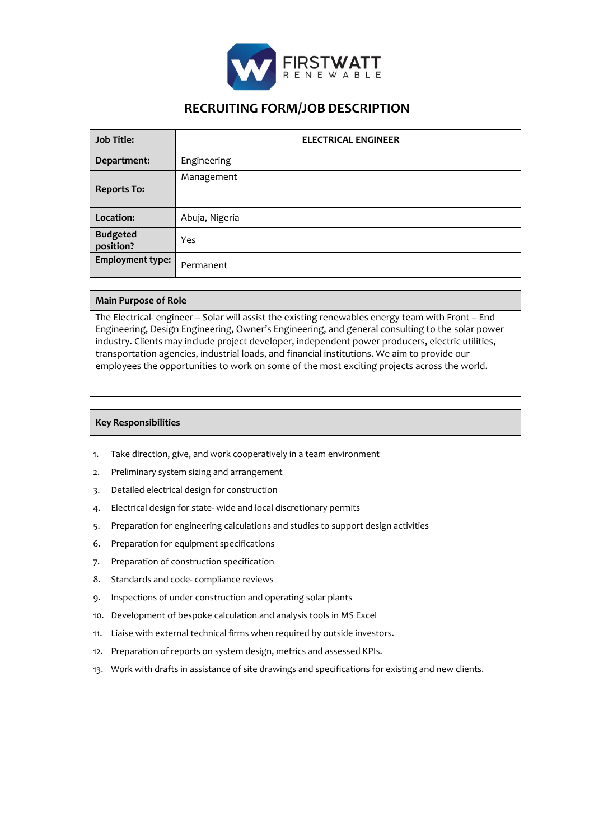

# **RECRUITING FORM/JOB DESCRIPTION**

| <b>Job Title:</b>            | <b>ELECTRICAL ENGINEER</b> |
|------------------------------|----------------------------|
| Department:                  | Engineering                |
| <b>Reports To:</b>           | Management                 |
| Location:                    | Abuja, Nigeria             |
| <b>Budgeted</b><br>position? | Yes                        |
| <b>Employment type:</b>      | Permanent                  |

## **Main Purpose of Role**

The Electrical- engineer – Solar will assist the existing renewables energy team with Front – End Engineering, Design Engineering, Owner's Engineering, and general consulting to the solar power industry. Clients may include project developer, independent power producers, electric utilities, transportation agencies, industrial loads, and financial institutions. We aim to provide our employees the opportunities to work on some of the most exciting projects across the world.

### **Key Responsibilities**

- 1. Take direction, give, and work cooperatively in a team environment
- 2. Preliminary system sizing and arrangement
- 3. Detailed electrical design for construction
- 4. Electrical design for state- wide and local discretionary permits
- 5. Preparation for engineering calculations and studies to support design activities
- 6. Preparation for equipment specifications
- 7. Preparation of construction specification
- 8. Standards and code- compliance reviews
- 9. Inspections of under construction and operating solar plants
- 10. Development of bespoke calculation and analysis tools in MS Excel
- 11. Liaise with external technical firms when required by outside investors.
- 12. Preparation of reports on system design, metrics and assessed KPIs.
- 13. Work with drafts in assistance of site drawings and specifications for existing and new clients.